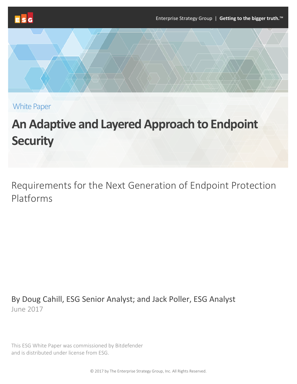

White Paper

# **An Adaptive and Layered Approach to Endpoint Security**

Requirements for the Next Generation of Endpoint Protection Platforms

By Doug Cahill, ESG Senior Analyst; and Jack Poller, ESG Analyst June 2017

This ESG White Paper was commissioned by Bitdefender and is distributed under license from ESG.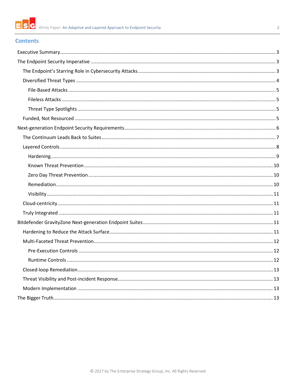

## $\overline{2}$

# **Contents**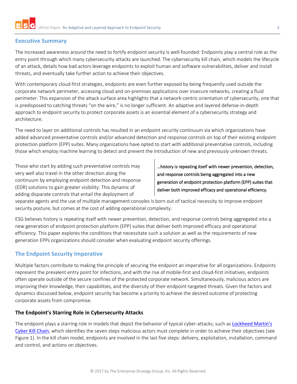## <span id="page-2-0"></span>**Executive Summary**

The increased awareness around the need to fortify endpoint security is well-founded: Endpoints play a central role as the entry point through which many cybersecurity attacks are launched. The cybersecurity kill chain, which models the lifecycle of an attack, details how bad actors leverage endpoints to exploit human and software vulnerabilities, deliver and install threats, and eventually take further action to achieve their objectives.

With contemporary cloud-first strategies, endpoints are even further exposed by being frequently used outside the corporate network perimeter, accessing cloud and on-premises applications over insecure networks, creating a fluid perimeter. This expansion of the attack surface area highlights that a network-centric orientation of cybersecurity, one that is predisposed to catching threats "on the wire," is no longer sufficient. An adaptive and layered defense-in-depth approach to endpoint security to protect corporate assets is an essential element of a cybersecurity strategy and architecture.

The need to layer on additional controls has resulted in an endpoint security continuum via which organizations have added advanced preventative controls and/or advanced detection and response controls on top of their existing endpoint protection platform (EPP) suites. Many organizations have opted to start with additional preventative controls, including those which employ machine learning to detect and prevent the introduction of new and previously unknown threats.

Those who start by adding such preventative controls may very well also travel in the other direction along the continuum by employing endpoint detection and response (EDR) solutions to gain greater visibility. This dynamic of adding disparate controls that entail the deployment of

…history is repeating itself with newer prevention, detection, and response controls being aggregated into a new generation of endpoint protection platform (EPP) suites that deliver both improved efficacy and operational efficiency.

separate agents and the use of multiple management consoles is born out of tactical necessity to improve endpoint security posture, but comes at the cost of adding operational complexity.

ESG believes history is repeating itself with newer prevention, detection, and response controls being aggregated into a new generation of endpoint protection platform (EPP) suites that deliver both improved efficacy and operational efficiency. This paper explores the conditions that necessitate such a solution as well as the requirements of new generation EPPs organizations should consider when evaluating endpoint security offerings.

# <span id="page-2-1"></span>**The Endpoint Security Imperative**

Multiple factors contribute to making the principle of securing the endpoint an imperative for all organizations. Endpoints represent the prevalent entry point for infections, and with the rise of mobile-first and cloud-first initiatives, endpoints often operate outside of the secure confines of the protected corporate network. Simultaneously, malicious actors are improving their knowledge, their capabilities, and the diversity of their endpoint-targeted threats. Given the factors and dynamics discussed below, endpoint security has become a priority to achieve the desired outcome of protecting corporate assets from compromise.

## <span id="page-2-2"></span>**The Endpoint's Starring Role in Cybersecurity Attacks**

The endpoint plays a starring role in models that depict the behavior of typical cyber-attacks, such as Lockheed Martin's [Cyber Kill Chain](http://www.lockheedmartin.com/us/what-we-do/aerospace-defense/cyber/cyber-kill-chain.html), which identifies the seven steps malicious actors must complete in order to achieve their objectives (see [Figure 1\)](#page-3-1). In the kill chain model, endpoints are involved in the last five steps: delivery, exploitation, installation, command and control, and actions on objectives.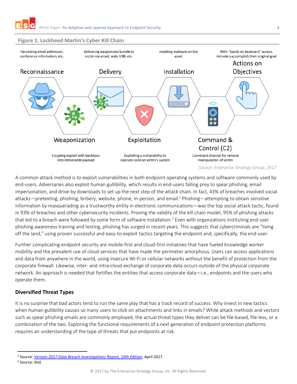## <span id="page-3-1"></span>**Figure 1. Lockheed Martin's Cyber Kill Chain**



A common attack method is to exploit vulnerabilities in both endpoint operating systems and software commonly used by end-users. Adversaries also exploit human gullibility, which results in end-users falling prey to spear phishing, email impersonation, and drive-by downloads to set up the next step of the attack chain. In fact, 43% of breaches involved social attacks—pretexting, phishing, bribery, website, phone, in-person, and email.<sup>1</sup> Phishing—attempting to obtain sensitive information by masquerading as a trustworthy entity in electronic communications—was the top social attack tactic, found in 93% of breaches and other cybersecurity incidents. Proving the validity of the kill chain model, 95% of phishing attacks that led to a breach were followed by some form of software installation.<sup>2</sup> Even with organizations instituting end-user phishing awareness training and testing, phishing has surged in recent years. This suggests that cybercriminals are "living off the land," using proven successful and easy-to-exploit tactics targeting the endpoint and, specifically, the end-user.

Further complicating endpoint security are mobile-first and cloud-first initiatives that have fueled knowledge worker mobility and the prevalent use of cloud services that have made the perimeter amorphous. Users can access applications and data from anywhere in the world, using insecure Wi-Fi or cellular networks without the benefit of protection from the corporate firewall. Likewise, inter- and intra-cloud exchange of corporate data occurs outside of the physical corporate network. An approach is needed that fortifies the entities that access corporate data—i.e., endpoints and the users who operate them.

# <span id="page-3-0"></span>**Diversified Threat Types**

It is no surprise that bad actors tend to run the same play that has a track record of success. Why invest in new tactics when human gullibility causes so many users to click on attachments and links in emails? While attack methods and vectors such as spear phishing emails are commonly employed, the actual threat types they deliver can be file-based, file-less, or a combination of the two. Exploring the functional requirements of a next generation of endpoint protection platforms requires an understanding of the type of threats that put endpoints at risk.

<sup>2</sup> Source: Ibid.

 <sup>1</sup> Source: *[Verizon 2017 Data Breach Investigations Report, 10th Edition](http://www.verizonenterprise.com/verizon-insights-lab/dbir/2017/)*, April 2017.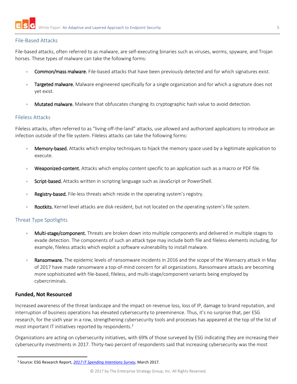## <span id="page-4-0"></span>File-Based Attacks

File-based attacks, often referred to as malware, are self-executing binaries such as viruses, worms, spyware, and Trojan horses. These types of malware can take the following forms:

- Common/mass malware. File-based attacks that have been previously detected and for which signatures exist.
- **Targeted malware.** Malware engineered specifically for a single organization and for which a signature does not yet exist.
- Mutated malware. Malware that obfuscates changing its cryptographic hash value to avoid detection.

## <span id="page-4-1"></span>Fileless Attacks

Fileless attacks, often referred to as "living-off-the-land" attacks, use allowed and authorized applications to introduce an infection outside of the file system. Fileless attacks can take the following forms:

- Memory-based. Attacks which employ techniques to hijack the memory space used by a legitimate application to execute.
- Weaponized-content. Attacks which employ content specific to an application such as a macro or PDF file.
- Script-based. Attacks written in scripting language such as JavaScript or PowerShell.
- Registry-based. File-less threats which reside in the operating system's registry.
- Rootkits. Kernel level attacks are disk-resident, but not located on the operating system's file system.

## <span id="page-4-2"></span>Threat Type Spotlights

- Multi-stage/component. Threats are broken down into multiple components and delivered in multiple stages to evade detection. The components of such an attack type may include both file and fileless elements including, for example, fileless attacks which exploit a software vulnerability to install malware.
- Ransomware. The epidemic levels of ransomware incidents in 2016 and the scope of the Wannacry attack in May of 2017 have made ransomware a top-of-mind concern for all organizations. Ransomware attacks are becoming more sophisticated with file-based, fileless, and multi-stage/component variants being employed by cybercriminals.

## <span id="page-4-3"></span>**Funded, Not Resourced**

Increased awareness of the threat landscape and the impact on revenue loss, loss of IP, damage to brand reputation, and interruption of business operations has elevated cybersecurity to preeminence. Thus, it's no surprise that, per ESG research, for the sixth year in a row, strengthening cybersecurity tools and processes has appeared at the top of the list of most important IT initiatives reported by respondents. 3

Organizations are acting on cybersecurity initiatives, with 69% of those surveyed by ESG indicating they are increasing their cybersecurity investments in 2017. Thirty-two percent of respondents said that increasing cybersecurity was the most

 <sup>3</sup> Source: ESG Research Report, *[2017 IT Spending Intentions Survey](http://research.esg-global.com/reportaction/2017ITSpendingIntentions/Toc)*, March 2017.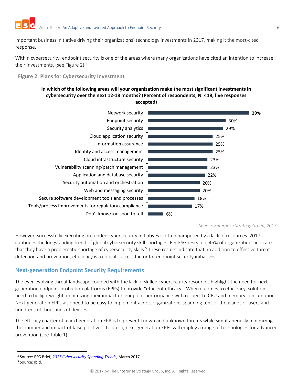important business initiative driving their organizations' technology investments in 2017, making it the most-cited response.

Within cybersecurity, endpoint security is one of the areas where many organizations have cited an intention to increase their investments. (see [Figure 2\)](#page-5-1).<sup>4</sup>

<span id="page-5-1"></span>**Figure 2. Plans for Cybersecurity Investment**

## **In which of the following areas will your organization make the most significant investments in cybersecurity over the next 12-18 months? (Percent of respondents, N=418, five responses accepted)**



*Source: Enterprise Strategy Group, 2017*

However, successfully executing on funded cybersecurity initiatives is often hampered by a lack of resources. 2017 continues the longstanding trend of global cybersecurity skill shortages. Per ESG research, 45% of organizations indicate that they have a problematic shortage of cybersecurity skills.<sup>5</sup> These results indicate that, in addition to effective threat detection and prevention, efficiency is a critical success factor for endpoint security initiatives.

# <span id="page-5-0"></span>**Next-generation Endpoint Security Requirements**

The ever-evolving threat landscape coupled with the lack of skilled cybersecurity resources highlight the need for nextgeneration endpoint protection platforms (EPPs) to provide "efficient efficacy." When it comes to efficiency, solutions need to be lightweight, minimizing their impact on endpoint performance with respect to CPU and memory consumption. Next-generation EPPs also need to be easy to implement across organizations spanning tens of thousands of users and hundreds of thousands of devices.

The efficacy charter of a next generation EPP is to prevent known and unknown threats while simultaneously minimizing the number and impact of false positives. To do so, next-generation EPPs will employ a range of technologies for advanced prevention (see Table 1).

 <sup>4</sup> Source: ESG Brief, *[2017 Cybersecurity Spending Trends](http://research.esg-global.com/reportaction/2017CybersecuritySpendingTrends/Toc)*, March 2017.

<sup>5</sup> Source: Ibid.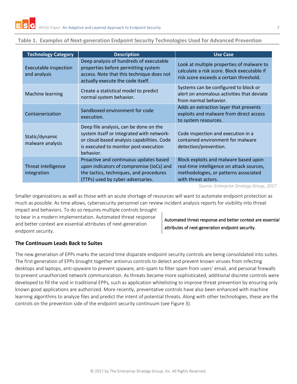| <b>Technology Category</b>                   | <b>Description</b>                                                                                                                                                                      | <b>Use Case</b>                                                                                                                                    |
|----------------------------------------------|-----------------------------------------------------------------------------------------------------------------------------------------------------------------------------------------|----------------------------------------------------------------------------------------------------------------------------------------------------|
| <b>Executable inspection</b><br>and analysis | Deep analysis of hundreds of executable<br>properties before permitting system<br>access. Note that this technique does not<br>actually execute the code itself.                        | Look at multiple properties of malware to<br>calculate a risk score. Block executable if<br>risk score exceeds a certain threshold.                |
| <b>Machine learning</b>                      | Create a statistical model to predict<br>normal system behavior.                                                                                                                        | Systems can be configured to block or<br>alert on anomalous activities that deviate<br>from normal behavior.                                       |
| Containerization                             | Sandboxed environment for code<br>execution.                                                                                                                                            | Adds an extraction layer that prevents<br>exploits and malware from direct access<br>to system resources.                                          |
| Static/dynamic<br>malware analysis           | Deep file analysis, can be done on the<br>system itself or integrated with network-<br>or cloud-based analysis capabilities. Code<br>is executed to monitor post-execution<br>behavior. | Code inspection and execution in a<br>contained environment for malware<br>detection/prevention.                                                   |
| Threat intelligence<br>integration           | Proactive and continuous updates based<br>upon indicators of compromise (IoCs) and<br>the tactics, techniques, and procedures<br>(TTPs) used by cyber-adversaries.                      | Block exploits and malware based upon<br>real-time intelligence on attack sources,<br>methodologies, or patterns associated<br>with threat actors. |

## **Table 1. Examples of Next-generation Endpoint Security Technologies Used for Advanced Prevention**

*Source: Enterprise Strategy Group, 2017*

Smaller organizations as well as those with an acute shortage of resources will want to automate endpoint protection as much as possible. As time allows, cybersecurity personnel can review incident analysis reports for visibility into threat

impact and behaviors. To do so requires multiple controls brought to bear in a modern implementation. Automated threat response and better context are essential attributes of next-generation endpoint security.

Automated threat response and better context are essential attributes of next-generation endpoint security.

## <span id="page-6-0"></span>**The Continuum Leads Back to Suites**

The new generation of EPPs marks the second time disparate endpoint security controls are being consolidated into suites. The first generation of EPPs brought together antivirus controls to detect and prevent known viruses from infecting desktops and laptops, anti-spyware to prevent spyware, anti-spam to filter spam from users' email, and personal firewalls to prevent unauthorized network communication. As threats became more sophisticated, additional discrete controls were developed to fill the void in traditional EPPs, such as application whitelisting to improve threat prevention by ensuring only known good applications are authorized. More recently, preventative controls have also been enhanced with machine learning algorithms to analyze files and predict the intent of potential threats. Along with other technologies, these are the controls on the prevention side of the endpoint security continuum (see [Figure 3\)](#page-7-1).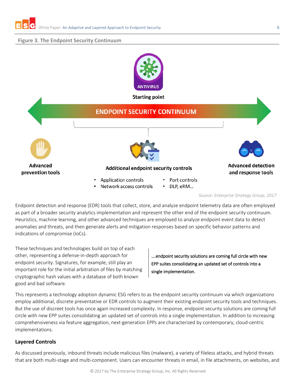## <span id="page-7-1"></span>**Figure 3. The Endpoint Security Continuum**



*Source: Enterprise Strategy Group, 2017*

Endpoint detection and response (EDR) tools that collect, store, and analyze endpoint telemetry data are often employed as part of a broader security analytics implementation and represent the other end of the endpoint security continuum. Heuristics, machine learning, and other advanced techniques are employed to analyze endpoint event data to detect anomalies and threats, and then generate alerts and mitigation responses based on specific behavior patterns and indications of compromise (IoCs).

These techniques and technologies build on top of each other, representing a defense-in-depth approach for endpoint security. Signatures, for example, still play an important role for the initial arbitration of files by matching cryptographic hash values with a database of both known good and bad software.

….endpoint security solutions are coming full circle with new EPP suites consolidating an updated set of controls into a single implementation.

This represents a technology adoption dynamic ESG refers to as the endpoint security continuum via which organizations employ additional, discrete preventative or EDR controls to augment their existing endpoint security tools and techniques. But the use of discreet tools has once again increased complexity. In response, endpoint security solutions are coming full circle with new EPP suites consolidating an updated set of controls into a single implementation. In addition to increasing comprehensiveness via feature aggregation, next-generation EPPs are characterized by contemporary, cloud-centric implementations.

## <span id="page-7-0"></span>**Layered Controls**

As discussed previously, inbound threats include malicious files (malware), a variety of fileless attacks, and hybrid threats that are both multi-stage and multi-component. Users can encounter threats in email, in file attachments, on websites, and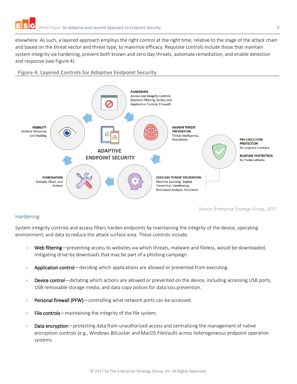elsewhere. As such, a layered approach employs the right control at the right time, relative to the stage of the attack chain and based on the threat vector and threat type, to maximize efficacy. Requisite controls include those that maintain system integrity via hardening, prevent both known and zero-day threats, automate remediation, and enable detection and response (see [Figure 4\)](#page-8-1).

<span id="page-8-1"></span>**Figure 4. Layered Controls for Adaptive Endpoint Security**



## <span id="page-8-0"></span>Hardening

System integrity controls and access filters harden endpoints by maintaining the integrity of the device, operating

environment, and data to reduce the attack surface area. These controls include:

- Web filtering—preventing access to websites via which threats, malware and fileless, would be downloaded, mitigating drive-by downloads that may be part of a phishing campaign.
- Application control—deciding which applications are allowed or prevented from executing.
- **Device control**—dictating which actions are allowed or prevented on the device, including accessing USB ports, USB removable storage media, and data copy polices for data loss prevention.
- Personal firewall (PFW)—controlling what network ports can be accessed.
- File controls—maintaining the integrity of the file system.
- Data encryption—protecting data from unauthorized access and centralizing the management of native encryption controls (e.g., Windows BitLocker and MacOS FileVault) across heterogeneous endpoint operation systems.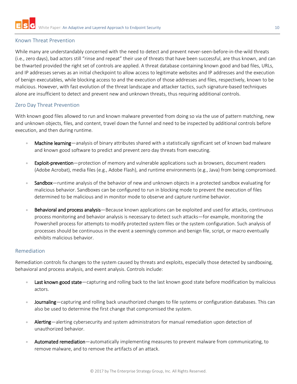## <span id="page-9-0"></span>Known Threat Prevention

While many are understandably concerned with the need to detect and prevent never-seen-before-in-the-wild threats (i.e., zero days), bad actors still "rinse and repeat" their use of threats that have been successful, are thus known, and can be thwarted provided the right set of controls are applied. A threat database containing known good and bad files, URLs, and IP addresses serves as an initial checkpoint to allow access to legitimate websites and IP addresses and the execution of benign executables, while blocking access to and the execution of those addresses and files, respectively, known to be malicious. However, with fast evolution of the threat landscape and attacker tactics, such signature-based techniques alone are insufficient to detect and prevent new and unknown threats, thus requiring additional controls.

## <span id="page-9-1"></span>Zero Day Threat Prevention

With known good files allowed to run and known malware prevented from doing so via the use of pattern matching, new and unknown objects, files, and content, travel down the funnel and need to be inspected by additional controls before execution, and then during runtime.

- Machine learning—analysis of binary attributes shared with a statistically significant set of known bad malware and known good software to predict and prevent zero day threats from executing.
- Exploit-prevention—protection of memory and vulnerable applications such as browsers, document readers (Adobe Acrobat), media files (e.g., Adobe Flash), and runtime environments (e.g., Java) from being compromised.
- Sandbox—runtime analysis of the behavior of new and unknown objects in a protected sandbox evaluating for malicious behavior. Sandboxes can be configured to run in blocking mode to prevent the execution of files determined to be malicious and in monitor mode to observe and capture runtime behavior.
- Behavioral and process analysis—Because known applications can be exploited and used for attacks, continuous process monitoring and behavior analysis is necessary to detect such attacks—for example, monitoring the Powershell process for attempts to modify protected system files or the system configuration. Such analysis of processes should be continuous in the event a seemingly common and benign file, script, or macro eventually exhibits malicious behavior.

## <span id="page-9-2"></span>Remediation

Remediation controls fix changes to the system caused by threats and exploits, especially those detected by sandboxing, behavioral and process analysis, and event analysis. Controls include:

- Last known good state—capturing and rolling back to the last known good state before modification by malicious actors.
- Journaling—capturing and rolling back unauthorized changes to file systems or configuration databases. This can also be used to determine the first change that compromised the system.
- Alerting—alerting cybersecurity and system administrators for manual remediation upon detection of unauthorized behavior.
- Automated remediation—automatically implementing measures to prevent malware from communicating, to remove malware, and to remove the artifacts of an attack.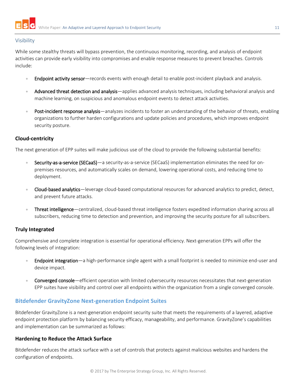

#### <span id="page-10-0"></span>Visibility

While some stealthy threats will bypass prevention, the continuous monitoring, recording, and analysis of endpoint activities can provide early visibility into compromises and enable response measures to prevent breaches. Controls include:

- Endpoint activity sensor—records events with enough detail to enable post-incident playback and analysis.
- Advanced threat detection and analysis—applies advanced analysis techniques, including behavioral analysis and machine learning, on suspicious and anomalous endpoint events to detect attack activities.
- Post-incident response analysis—analyzes incidents to foster an understanding of the behavior of threats, enabling organizations to further harden configurations and update policies and procedures, which improves endpoint security posture.

#### <span id="page-10-1"></span>**Cloud-centricity**

The next generation of EPP suites will make judicious use of the cloud to provide the following substantial benefits:

- Security-as-a-service (SECaaS)—a security-as-a-service (SECaaS) implementation eliminates the need for onpremises resources, and automatically scales on demand, lowering operational costs, and reducing time to deployment.
- Cloud-based analytics—leverage cloud-based computational resources for advanced analytics to predict, detect, and prevent future attacks.
- Threat intelligence—centralized, cloud-based threat intelligence fosters expedited information sharing across all subscribers, reducing time to detection and prevention, and improving the security posture for all subscribers.

## <span id="page-10-2"></span>**Truly Integrated**

Comprehensive and complete integration is essential for operational efficiency. Next-generation EPPs will offer the following levels of integration:

- **Endpoint integration**—a high-performance single agent with a small footprint is needed to minimize end-user and device impact.
- Converged console—efficient operation with limited cybersecurity resources necessitates that next-generation EPP suites have visibility and control over all endpoints within the organization from a single converged console.

## <span id="page-10-3"></span>**Bitdefender GravityZone Next-generation Endpoint Suites**

Bitdefender GravityZone is a next-generation endpoint security suite that meets the requirements of a layered, adaptive endpoint protection platform by balancing security efficacy, manageability, and performance. GravityZone's capabilities and implementation can be summarized as follows:

## <span id="page-10-4"></span>**Hardening to Reduce the Attack Surface**

Bitdefender reduces the attack surface with a set of controls that protects against malicious websites and hardens the configuration of endpoints.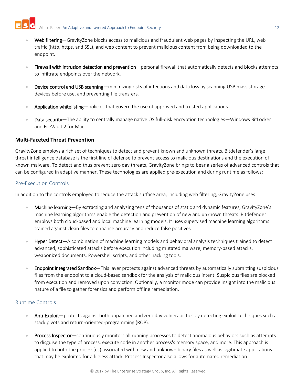- Web filtering—GravityZone blocks access to malicious and fraudulent web pages by inspecting the URL, web traffic (http, https, and SSL), and web content to prevent malicious content from being downloaded to the endpoint.
- Firewall with intrusion detection and prevention—personal firewall that automatically detects and blocks attempts to infiltrate endpoints over the network.
- Device control and USB scanning—minimizing risks of infections and data loss by scanning USB mass storage devices before use, and preventing file transfers.
- Application whitelisting—policies that govern the use of approved and trusted applications.
- Data security—The ability to centrally manage native OS full-disk encryption technologies—Windows BitLocker and FileVault 2 for Mac.

## <span id="page-11-0"></span>**Multi-Faceted Threat Prevention**

GravityZone employs a rich set of techniques to detect and prevent known and unknown threats. Bitdefender's large threat intelligence database is the first line of defense to prevent access to malicious destinations and the execution of known malware. To detect and thus prevent zero day threats, GravityZone brings to bear a series of advanced controls that can be configured in adaptive manner. These technologies are applied pre-execution and during runtime as follows:

## <span id="page-11-1"></span>Pre-Execution Controls

In addition to the controls employed to reduce the attack surface area, including web filtering, GravityZone uses:

- Machine learning—By extracting and analyzing tens of thousands of static and dynamic features, GravityZone's machine learning algorithms enable the detection and prevention of new and unknown threats. Bitdefender employs both cloud-based and local machine learning models. It uses supervised machine learning algorithms trained against clean files to enhance accuracy and reduce false positives.
- Hyper Detect—A combination of machine learning models and behavioral analysis techniques trained to detect advanced, sophisticated attacks before execution including mutated malware, memory-based attacks, weaponized documents, Powershell scripts, and other hacking tools.
- Endpoint integrated Sandbox—This layer protects against advanced threats by automatically submitting suspicious files from the endpoint to a cloud-based sandbox for the analysis of malicious intent. Suspicious files are blocked from execution and removed upon conviction. Optionally, a monitor mode can provide insight into the malicious nature of a file to gather forensics and perform offline remediation.

## <span id="page-11-2"></span>Runtime Controls

- Anti-Exploit—protects against both unpatched and zero day vulnerabilities by detecting exploit techniques such as stack pivots and return-oriented-programming (ROP).
- Process Inspector—continuously monitors all running processes to detect anomalous behaviors such as attempts to disguise the type of process, execute code in another process's memory space, and more. This approach is applied to both the process(es) associated with new and unknown binary files as well as legitimate applications that may be exploited for a fileless attack. Process Inspector also allows for automated remediation.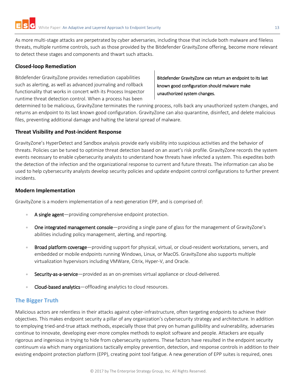As more multi-stage attacks are perpetrated by cyber adversaries, including those that include both malware and fileless threats, multiple runtime controls, such as those provided by the Bitdefender GravityZone offering, become more relevant to detect these stages and components and thwart such attacks.

## <span id="page-12-0"></span>**Closed-loop Remediation**

Bitdefender GravityZone provides remediation capabilities such as alerting, as well as advanced journaling and rollback functionality that works in concert with its Process Inspector runtime threat detection control. When a process has been

Bitdefender GravityZone can return an endpoint to its last known good configuration should malware make unauthorized system changes.

determined to be malicious, GravityZone terminates the running process, rolls back any unauthorized system changes, and returns an endpoint to its last known good configuration. GravityZone can also quarantine, disinfect, and delete malicious files, preventing additional damage and halting the lateral spread of malware.

## <span id="page-12-1"></span>**Threat Visibility and Post-incident Response**

GravityZone's HyperDetect and Sandbox analysis provide early visibility into suspicious activities and the behavior of threats. Policies can be tuned to optimize threat detection based on an asset's risk profile. GravityZone records the system events necessary to enable cybersecurity analysts to understand how threats have infected a system. This expedites both the detection of the infection and the organizational response to current and future threats. The information can also be used to help cybersecurity analysts develop security policies and update endpoint control configurations to further prevent incidents.

## <span id="page-12-2"></span>**Modern Implementation**

GravityZone is a modern implementation of a next-generation EPP, and is comprised of:

- A single agent—providing comprehensive endpoint protection.
- One integrated management console—providing a single pane of glass for the management of GravityZone's abilities including policy management, alerting, and reporting.
- Broad platform coverage—providing support for physical, virtual, or cloud-resident workstations, servers, and embedded or mobile endpoints running Windows, Linux, or MacOS. GravityZone also supports multiple virtualization hypervisors including VMWare, Citrix, Hyper-V, and Oracle.
- Security-as-a-service—provided as an on-premises virtual appliance or cloud-delivered.
- Cloud-based analytics—offloading analytics to cloud resources.

# <span id="page-12-3"></span>**The Bigger Truth**

Malicious actors are relentless in their attacks against cyber-infrastructure, often targeting endpoints to achieve their objectives. This makes endpoint security a pillar of any organization's cybersecurity strategy and architecture. In addition to employing tried-and-true attack methods, especially those that prey on human gullibility and vulnerability, adversaries continue to innovate, developing ever-more complex methods to exploit software and people. Attackers are equally rigorous and ingenious in trying to hide from cybersecurity systems. These factors have resulted in the endpoint security continuum via which many organizations tactically employ prevention, detection, and response controls in addition to their existing endpoint protection platform (EPP), creating point tool fatigue. A new generation of EPP suites is required, ones